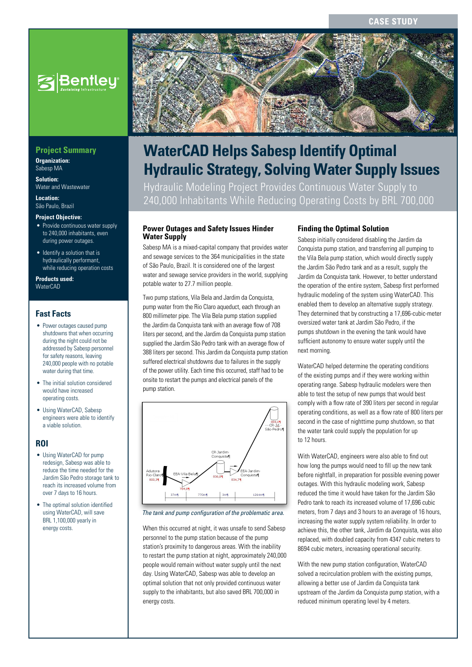**CASE STUDY**



# **WaterCAD Helps Sabesp Identify Optimal Hydraulic Strategy, Solving Water Supply Issues**

Hydraulic Modeling Project Provides Continuous Water Supply to 240,000 Inhabitants While Reducing Operating Costs by BRL 700,000

#### **Power Outages and Safety Issues Hinder Water Supply**

Sabesp MA is a mixed-capital company that provides water and sewage services to the 364 municipalities in the state of São Paulo, Brazil. It is considered one of the largest water and sewage service providers in the world, supplying potable water to 27.7 million people.

Two pump stations, Vila Bela and Jardim da Conquista, pump water from the Rio Claro aqueduct, each through an 800 millimeter pipe. The Vila Bela pump station supplied the Jardim da Conquista tank with an average flow of 708 liters per second, and the Jardim da Conquista pump station supplied the Jardim São Pedro tank with an average flow of 388 liters per second. This Jardim da Conquista pump station suffered electrical shutdowns due to failures in the supply of the power utility. Each time this occurred, staff had to be onsite to restart the pumps and electrical panels of the pump station.



#### *The tank and pump configuration of the problematic area.*

When this occurred at night, it was unsafe to send Sabesp personnel to the pump station because of the pump station's proximity to dangerous areas. With the inability to restart the pump station at night, approximately 240,000 people would remain without water supply until the next day. Using WaterCAD, Sabesp was able to develop an optimal solution that not only provided continuous water supply to the inhabitants, but also saved BRL 700,000 in energy costs.

#### **Finding the Optimal Solution**

Sabesp initially considered disabling the Jardim da Conquista pump station, and transferring all pumping to the Vila Bela pump station, which would directly supply the Jardim São Pedro tank and as a result, supply the Jardim da Conquista tank. However, to better understand the operation of the entire system, Sabesp first performed hydraulic modeling of the system using WaterCAD. This enabled them to develop an alternative supply strategy. They determined that by constructing a 17,696-cubic-meter oversized water tank at Jardim São Pedro, if the pumps shutdown in the evening the tank would have sufficient autonomy to ensure water supply until the next morning.

WaterCAD helped determine the operating conditions of the existing pumps and if they were working within operating range. Sabesp hydraulic modelers were then able to test the setup of new pumps that would best comply with a flow rate of 390 liters per second in regular operating conditions, as well as a flow rate of 800 liters per second in the case of nighttime pump shutdown, so that the water tank could supply the population for up to 12 hours.

With WaterCAD, engineers were also able to find out how long the pumps would need to fill up the new tank before nightfall, in preparation for possible evening power outages. With this hydraulic modeling work, Sabesp reduced the time it would have taken for the Jardim São Pedro tank to reach its increased volume of 17,696 cubic meters, from 7 days and 3 hours to an average of 16 hours, increasing the water supply system reliability. In order to achieve this, the other tank, Jardim da Conquista, was also replaced, with doubled capacity from 4347 cubic meters to 8694 cubic meters, increasing operational security.

With the new pump station configuration, WaterCAD solved a recirculation problem with the existing pumps, allowing a better use of Jardim da Conquista tank upstream of the Jardim da Conquista pump station, with a reduced minimum operating level by 4 meters.

## **Project Summary**

**Organization:**  Sabesp MA

**Solution:**  Water and Wastewater

**Location:**  São Paulo, Brazil

#### **Project Objective:**

- Provide continuous water supply to 240,000 inhabitants, even during power outages.
- Identify a solution that is hydraulically performant, while reducing operation costs

**Products used: WaterCAD** 

## **Fast Facts**

- Power outages caused pump shutdowns that when occurring during the night could not be addressed by Sabesp personnel for safety reasons, leaving 240,000 people with no potable water during that time.
- The initial solution considered would have increased operating costs.
- Using WaterCAD, Sabesp engineers were able to identify a viable solution.

#### **ROI**

- Using WaterCAD for pump redesign, Sabesp was able to reduce the time needed for the Jardim São Pedro storage tank to reach its increased volume from over 7 days to 16 hours.
- The optimal solution identified using WaterCAD, will save BRL 1,100,000 yearly in energy costs.